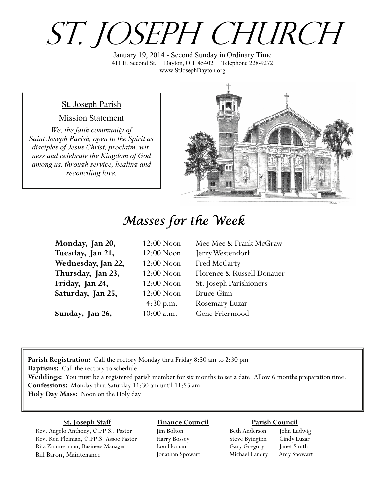# St. Joseph Church

January 19, 2014 - Second Sunday in Ordinary Time 411 E. Second St., Dayton, OH 45402 Telephone 228-9272 www.StJosephDayton.org

#### St. Joseph Parish

#### Mission Statement

*We, the faith community of Saint Joseph Parish, open to the Spirit as disciples of Jesus Christ, proclaim, witness and celebrate the Kingdom of God among us, through service, healing and reconciling love.*



## *Masses for the Week*

| Monday, Jan 20,    | $12:00$ Noon | Mee Mee & Frank McGraw     |
|--------------------|--------------|----------------------------|
| Tuesday, Jan 21,   | $12:00$ Noon | Jerry Westendorf           |
| Wednesday, Jan 22, | $12:00$ Noon | Fred McCarty               |
| Thursday, Jan 23,  | $12:00$ Noon | Florence & Russell Donauer |
| Friday, Jan 24,    | $12:00$ Noon | St. Joseph Parishioners    |
| Saturday, Jan 25,  | $12:00$ Noon | <b>Bruce Ginn</b>          |
|                    | 4:30 p.m.    | Rosemary Luzar             |
| Sunday, Jan 26,    | $10:00$ a.m. | Gene Friermood             |

**Parish Registration:** Call the rectory Monday thru Friday 8:30 am to 2:30 pm **Baptisms:** Call the rectory to schedule **Weddings:** You must be a registered parish member for six months to set a date. Allow 6 months preparation time. **Confessions:** Monday thru Saturday 11:30 am until 11:55 am **Holy Day Mass:** Noon on the Holy day

#### **St. Joseph Staff**

Rev. Angelo Anthony, C.PP.S., Pastor Rev. Ken Pleiman, C.PP.S. Assoc Pastor Rita Zimmerman, Business Manager Bill Baron, Maintenance

#### **Finance Council** Jim Bolton

Harry Bossey Lou Homan Jonathan Spowart

#### **Parish Council**

Beth Anderson John Ludwig Steve Byington Cindy Luzar Gary Gregory Janet Smith Michael Landry Amy Spowart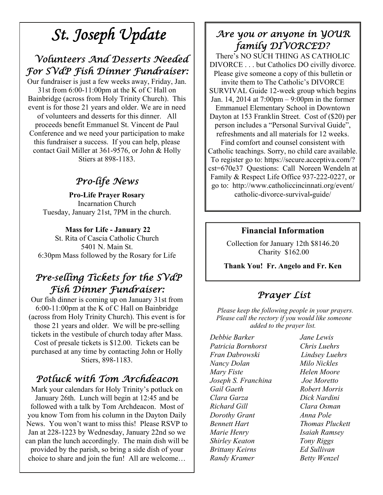## *St. Joseph Update*

## *Volunteers And Desserts Needed For SVdP Fish Dinner Fundraiser:*

Our fundraiser is just a few weeks away, Friday, Jan. 31st from 6:00-11:00pm at the K of C Hall on Bainbridge (across from Holy Trinity Church). This event is for those 21 years and older. We are in need of volunteers and desserts for this dinner. All proceeds benefit Emmanuel St. Vincent de Paul Conference and we need your participation to make this fundraiser a success. If you can help, please contact Gail Miller at 361-9576, or John & Holly Stiers at 898-1183.

## *Pro-life News*

**Pro-Life Prayer Rosary**  Incarnation Church Tuesday, January 21st, 7PM in the church.

#### **Mass for Life - January 22**

St. Rita of Cascia Catholic Church 5401 N. Main St. 6:30pm Mass followed by the Rosary for Life

## *Pre-selling Tickets for the SVdP Fish Dinner Fundraiser:*

Our fish dinner is coming up on January 31st from 6:00-11:00pm at the K of C Hall on Bainbridge (across from Holy Trinity Church). This event is for those 21 years and older. We will be pre-selling tickets in the vestibule of church today after Mass. Cost of presale tickets is \$12.00. Tickets can be purchased at any time by contacting John or Holly Stiers, 898-1183.

## *Potluck with Tom Archdeacon*

Mark your calendars for Holy Trinity's potluck on January 26th. Lunch will begin at 12:45 and be followed with a talk by Tom Archdeacon. Most of you know Tom from his column in the Dayton Daily News. You won't want to miss this! Please RSVP to Jan at 228-1223 by Wednesday, January 22nd so we can plan the lunch accordingly. The main dish will be provided by the parish, so bring a side dish of your choice to share and join the fun! All are welcome…

### *Are you or anyone in YOUR family DIVORCED?*

There's NO SUCH THING AS CATHOLIC DIVORCE . . . but Catholics DO civilly divorce. Please give someone a copy of this bulletin or invite them to The Catholic's DIVORCE SURVIVAL Guide 12-week group which begins Jan. 14, 2014 at 7:00pm – 9:00pm in the former Emmanuel Elementary School in Downtown Dayton at 153 Franklin Street. Cost of (\$20) per person includes a "Personal Survival Guide", refreshments and all materials for 12 weeks. Find comfort and counsel consistent with Catholic teachings. Sorry, no child care available. To register go to: https://secure.acceptiva.com/? cst=670e37 Questions: Call Noreen Wendeln at Family & Respect Life Office 937-222-0227, or go to: http://www.catholiccincinnati.org/event/ catholic-divorce-survival**-**guide/

#### **Financial Information**

Collection for January 12th \$8146.20 Charity \$162.00

**Thank You! Fr. Angelo and Fr. Ken**

## *Prayer List*

 *Please keep the following people in your prayers. Please call the rectory if you would like someone added to the prayer list.* 

*Debbie Barker Jane Lewis Patricia Bornhorst Chris Luehrs Fran Dabrowski Lindsey Luehrs Nancy Dolan Milo Nickles Mary Fiste Helen Moore Joseph S. Franchina Joe Moretto Gail Gaeth Robert Morris Clara Garza Dick Nardini Richard Gill Clara Osman Dorothy Grant Anna Pole Bennett Hart Thomas Pluckett Marie Henry Isaiah Ramsey Shirley Keaton Tony Riggs Brittany Keirns Ed Sullivan Randy Kramer Betty Wenzel*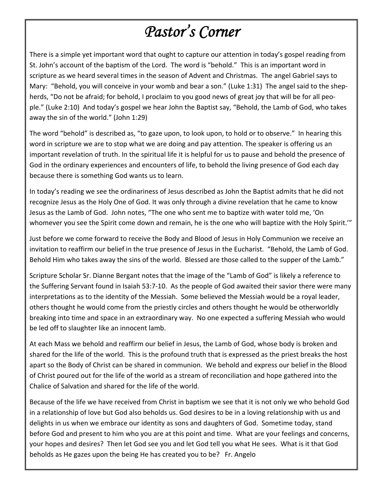# *Pastor's Corner*

There is a simple yet important word that ought to capture our attention in today's gospel reading from St. John's account of the baptism of the Lord. The word is "behold." This is an important word in scripture as we heard several times in the season of Advent and Christmas. The angel Gabriel says to Mary: "Behold, you will conceive in your womb and bear a son." (Luke 1:31) The angel said to the shepherds, "Do not be afraid; for behold, I proclaim to you good news of great joy that will be for all people." (Luke 2:10) And today's gospel we hear John the Baptist say, "Behold, the Lamb of God, who takes away the sin of the world." (John 1:29)

The word "behold" is described as, "to gaze upon, to look upon, to hold or to observe." In hearing this word in scripture we are to stop what we are doing and pay attention. The speaker is offering us an important revelation of truth. In the spiritual life it is helpful for us to pause and behold the presence of God in the ordinary experiences and encounters of life, to behold the living presence of God each day because there is something God wants us to learn.

In today's reading we see the ordinariness of Jesus described as John the Baptist admits that he did not recognize Jesus as the Holy One of God. It was only through a divine revelation that he came to know Jesus as the Lamb of God. John notes, "The one who sent me to baptize with water told me, 'On whomever you see the Spirit come down and remain, he is the one who will baptize with the Holy Spirit.'"

Just before we come forward to receive the Body and Blood of Jesus in Holy Communion we receive an invitation to reaffirm our belief in the true presence of Jesus in the Eucharist. "Behold, the Lamb of God. Behold Him who takes away the sins of the world. Blessed are those called to the supper of the Lamb."

Scripture Scholar Sr. Dianne Bergant notes that the image of the "Lamb of God" is likely a reference to the Suffering Servant found in Isaiah 53:7‐10. As the people of God awaited their savior there were many interpretations as to the identity of the Messiah. Some believed the Messiah would be a royal leader, others thought he would come from the priestly circles and others thought he would be otherworldly breaking into time and space in an extraordinary way. No one expected a suffering Messiah who would be led off to slaughter like an innocent lamb.

At each Mass we behold and reaffirm our belief in Jesus, the Lamb of God, whose body is broken and shared for the life of the world. This is the profound truth that is expressed as the priest breaks the host apart so the Body of Christ can be shared in communion. We behold and express our belief in the Blood of Christ poured out for the life of the world as a stream of reconciliation and hope gathered into the Chalice of Salvation and shared for the life of the world.

Because of the life we have received from Christ in baptism we see that it is not only we who behold God in a relationship of love but God also beholds us. God desires to be in a loving relationship with us and delights in us when we embrace our identity as sons and daughters of God. Sometime today, stand before God and present to him who you are at this point and time. What are your feelings and concerns, your hopes and desires? Then let God see you and let God tell you what He sees. What is it that God beholds as He gazes upon the being He has created you to be? Fr. Angelo